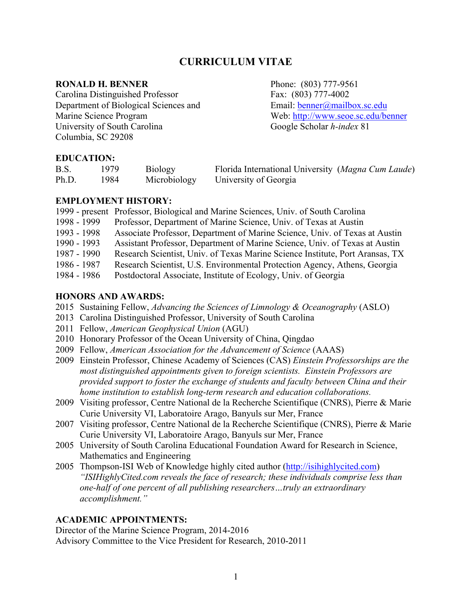# **CURRICULUM VITAE**

### **RONALD H. BENNER** Phone: (803) 777-9561

Carolina Distinguished Professor Fax: (803) 777-4002 Department of Biological Sciences and Email: benner@mailbox.sc.edu Marine Science Program Web: http://www.seoe.sc.edu/benner University of South Carolina Google Scholar *h-index* 81 Columbia, SC 29208

## **EDUCATION:**

| B.S.  | 1979  | <b>Biology</b> | Florida International University (Magna Cum Laude) |  |
|-------|-------|----------------|----------------------------------------------------|--|
| Ph.D. | 1984. | Microbiology   | University of Georgia                              |  |

## **EMPLOYMENT HISTORY:**

|             | 1999 - present Professor, Biological and Marine Sciences, Univ. of South Carolina |
|-------------|-----------------------------------------------------------------------------------|
| 1998 - 1999 | Professor, Department of Marine Science, Univ. of Texas at Austin                 |
| 1993 - 1998 | Associate Professor, Department of Marine Science, Univ. of Texas at Austin       |
| 1990 - 1993 | Assistant Professor, Department of Marine Science, Univ. of Texas at Austin       |
| 1987 - 1990 | Research Scientist, Univ. of Texas Marine Science Institute, Port Aransas, TX     |
| 1986 - 1987 | Research Scientist, U.S. Environmental Protection Agency, Athens, Georgia         |
| 1984 - 1986 | Postdoctoral Associate, Institute of Ecology, Univ. of Georgia                    |

## **HONORS AND AWARDS:**

- 2015 Sustaining Fellow, *Advancing the Sciences of Limnology & Oceanography* (ASLO)
- 2013 Carolina Distinguished Professor, University of South Carolina
- 2011 Fellow, *American Geophysical Union* (AGU)
- 2010 Honorary Professor of the Ocean University of China, Qingdao
- 2009 Fellow, *American Association for the Advancement of Science* (AAAS)
- 2009 Einstein Professor, Chinese Academy of Sciences (CAS) *Einstein Professorships are the most distinguished appointments given to foreign scientists. Einstein Professors are provided support to foster the exchange of students and faculty between China and their home institution to establish long-term research and education collaborations.*
- 2009 Visiting professor, Centre National de la Recherche Scientifique (CNRS), Pierre & Marie Curie University VI, Laboratoire Arago, Banyuls sur Mer, France
- 2007 Visiting professor, Centre National de la Recherche Scientifique (CNRS), Pierre & Marie Curie University VI, Laboratoire Arago, Banyuls sur Mer, France
- 2005 University of South Carolina Educational Foundation Award for Research in Science, Mathematics and Engineering
- 2005 Thompson-ISI Web of Knowledge highly cited author (http://isihighlycited.com) *"ISIHighlyCited.com reveals the face of research; these individuals comprise less than one-half of one percent of all publishing researchers…truly an extraordinary accomplishment."*

## **ACADEMIC APPOINTMENTS:**

Director of the Marine Science Program, 2014-2016 Advisory Committee to the Vice President for Research, 2010-2011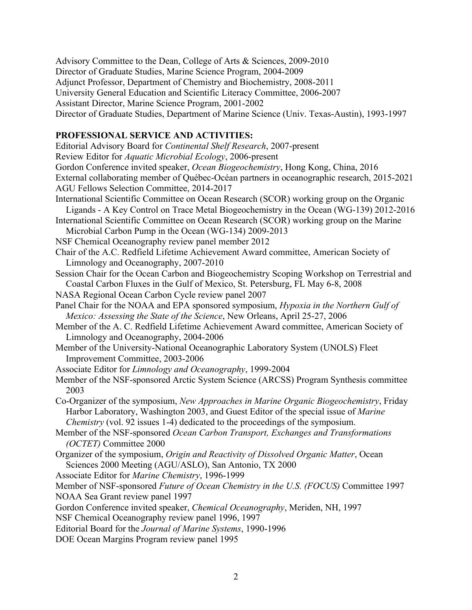Advisory Committee to the Dean, College of Arts & Sciences, 2009-2010 Director of Graduate Studies, Marine Science Program, 2004-2009 Adjunct Professor, Department of Chemistry and Biochemistry, 2008-2011 University General Education and Scientific Literacy Committee, 2006-2007 Assistant Director, Marine Science Program, 2001-2002 Director of Graduate Studies, Department of Marine Science (Univ. Texas-Austin), 1993-1997

## **PROFESSIONAL SERVICE AND ACTIVITIES:**

Editorial Advisory Board for *Continental Shelf Research*, 2007-present Review Editor for *Aquatic Microbial Ecology*, 2006-present Gordon Conference invited speaker, *Ocean Biogeochemistry*, Hong Kong, China, 2016 External collaborating member of Québec-Océan partners in oceanographic research, 2015-2021 AGU Fellows Selection Committee, 2014-2017 International Scientific Committee on Ocean Research (SCOR) working group on the Organic Ligands - A Key Control on Trace Metal Biogeochemistry in the Ocean (WG-139) 2012-2016 International Scientific Committee on Ocean Research (SCOR) working group on the Marine Microbial Carbon Pump in the Ocean (WG-134) 2009-2013 NSF Chemical Oceanography review panel member 2012 Chair of the A.C. Redfield Lifetime Achievement Award committee, American Society of Limnology and Oceanography, 2007-2010 Session Chair for the Ocean Carbon and Biogeochemistry Scoping Workshop on Terrestrial and Coastal Carbon Fluxes in the Gulf of Mexico, St. Petersburg, FL May 6-8, 2008 NASA Regional Ocean Carbon Cycle review panel 2007 Panel Chair for the NOAA and EPA sponsored symposium, *Hypoxia in the Northern Gulf of Mexico: Assessing the State of the Science*, New Orleans, April 25-27, 2006 Member of the A. C. Redfield Lifetime Achievement Award committee, American Society of Limnology and Oceanography, 2004-2006 Member of the University-National Oceanographic Laboratory System (UNOLS) Fleet Improvement Committee, 2003-2006 Associate Editor for *Limnology and Oceanography*, 1999-2004 Member of the NSF-sponsored Arctic System Science (ARCSS) Program Synthesis committee 2003 Co-Organizer of the symposium, *New Approaches in Marine Organic Biogeochemistry*, Friday Harbor Laboratory, Washington 2003, and Guest Editor of the special issue of *Marine Chemistry* (vol. 92 issues 1-4) dedicated to the proceedings of the symposium. Member of the NSF-sponsored *Ocean Carbon Transport, Exchanges and Transformations (OCTET)* Committee 2000 Organizer of the symposium, *Origin and Reactivity of Dissolved Organic Matter*, Ocean Sciences 2000 Meeting (AGU/ASLO), San Antonio, TX 2000 Associate Editor for *Marine Chemistry*, 1996-1999 Member of NSF-sponsored *Future of Ocean Chemistry in the U.S. (FOCUS)* Committee 1997 NOAA Sea Grant review panel 1997 Gordon Conference invited speaker, *Chemical Oceanography*, Meriden, NH, 1997 NSF Chemical Oceanography review panel 1996, 1997 Editorial Board for the *Journal of Marine Systems*, 1990-1996 DOE Ocean Margins Program review panel 1995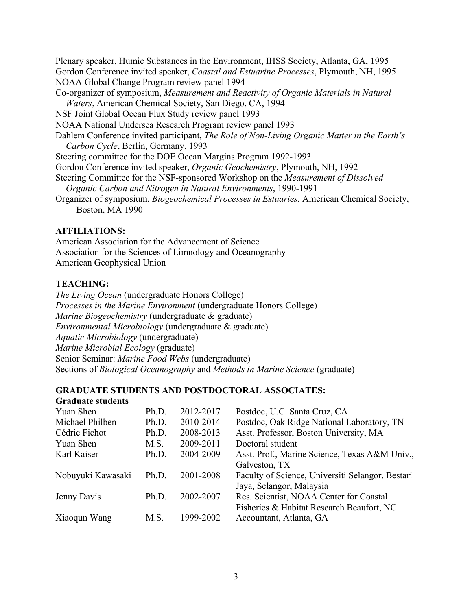Plenary speaker, Humic Substances in the Environment, IHSS Society, Atlanta, GA, 1995 Gordon Conference invited speaker, *Coastal and Estuarine Processes*, Plymouth, NH, 1995 NOAA Global Change Program review panel 1994 Co-organizer of symposium, *Measurement and Reactivity of Organic Materials in Natural Waters*, American Chemical Society, San Diego, CA, 1994 NSF Joint Global Ocean Flux Study review panel 1993 NOAA National Undersea Research Program review panel 1993 Dahlem Conference invited participant, *The Role of Non-Living Organic Matter in the Earth's Carbon Cycle*, Berlin, Germany, 1993 Steering committee for the DOE Ocean Margins Program 1992-1993 Gordon Conference invited speaker, *Organic Geochemistry*, Plymouth, NH, 1992 Steering Committee for the NSF-sponsored Workshop on the *Measurement of Dissolved Organic Carbon and Nitrogen in Natural Environments*, 1990-1991 Organizer of symposium, *Biogeochemical Processes in Estuaries*, American Chemical Society, Boston, MA 1990

### **AFFILIATIONS:**

American Association for the Advancement of Science Association for the Sciences of Limnology and Oceanography American Geophysical Union

## **TEACHING:**

*The Living Ocean* (undergraduate Honors College) *Processes in the Marine Environment* (undergraduate Honors College) *Marine Biogeochemistry* (undergraduate & graduate) *Environmental Microbiology* (undergraduate & graduate) *Aquatic Microbiology* (undergraduate) *Marine Microbial Ecology* (graduate) Senior Seminar: *Marine Food Webs* (undergraduate) Sections of *Biological Oceanography* and *Methods in Marine Science* (graduate)

## **GRADUATE STUDENTS AND POSTDOCTORAL ASSOCIATES:**

| Ph.D. | 2012-2017 | Postdoc, U.C. Santa Cruz, CA                     |
|-------|-----------|--------------------------------------------------|
| Ph.D. | 2010-2014 | Postdoc, Oak Ridge National Laboratory, TN       |
| Ph.D. | 2008-2013 | Asst. Professor, Boston University, MA           |
| M.S.  | 2009-2011 | Doctoral student                                 |
| Ph.D. | 2004-2009 | Asst. Prof., Marine Science, Texas A&M Univ.,    |
|       |           | Galveston, TX                                    |
| Ph.D. | 2001-2008 | Faculty of Science, Universiti Selangor, Bestari |
|       |           | Jaya, Selangor, Malaysia                         |
| Ph.D. | 2002-2007 | Res. Scientist, NOAA Center for Coastal          |
|       |           | Fisheries & Habitat Research Beaufort, NC        |
| M S   | 1999-2002 | Accountant, Atlanta, GA                          |
|       |           |                                                  |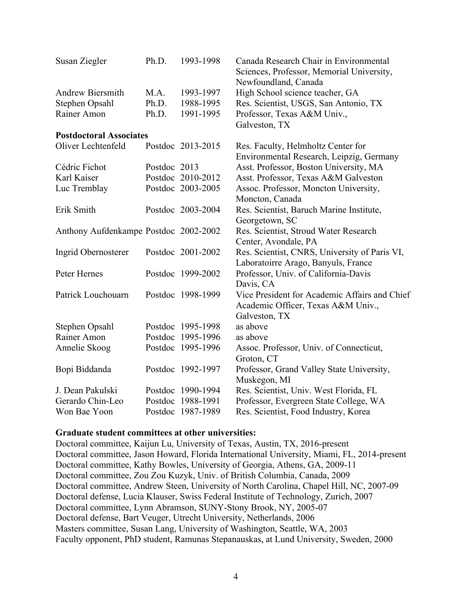| Susan Ziegler                         | Ph.D.        | 1993-1998         | Canada Research Chair in Environmental<br>Sciences, Professor, Memorial University,<br>Newfoundland, Canada |
|---------------------------------------|--------------|-------------------|-------------------------------------------------------------------------------------------------------------|
| <b>Andrew Biersmith</b>               | MA.          | 1993-1997         | High School science teacher, GA                                                                             |
| Stephen Opsahl                        | Ph.D.        | 1988-1995         | Res. Scientist, USGS, San Antonio, TX                                                                       |
| Rainer Amon                           | Ph.D.        | 1991-1995         | Professor, Texas A&M Univ.,<br>Galveston, TX                                                                |
| <b>Postdoctoral Associates</b>        |              |                   |                                                                                                             |
| Oliver Lechtenfeld                    |              | Postdoc 2013-2015 | Res. Faculty, Helmholtz Center for<br>Environmental Research, Leipzig, Germany                              |
| Cédric Fichot                         | Postdoc 2013 |                   | Asst. Professor, Boston University, MA                                                                      |
| Karl Kaiser                           |              | Postdoc 2010-2012 | Asst. Professor, Texas A&M Galveston                                                                        |
| Luc Tremblay                          |              | Postdoc 2003-2005 | Assoc. Professor, Moncton University,                                                                       |
|                                       |              |                   | Moncton, Canada                                                                                             |
| Erik Smith                            |              | Postdoc 2003-2004 | Res. Scientist, Baruch Marine Institute,                                                                    |
|                                       |              |                   | Georgetown, SC                                                                                              |
| Anthony Aufdenkampe Postdoc 2002-2002 |              |                   | Res. Scientist, Stroud Water Research<br>Center, Avondale, PA                                               |
| Ingrid Obernosterer                   |              | Postdoc 2001-2002 | Res. Scientist, CNRS, University of Paris VI,<br>Laboratoirre Arago, Banyuls, France                        |
| Peter Hernes                          |              | Postdoc 1999-2002 | Professor, Univ. of California-Davis<br>Davis, CA                                                           |
| Patrick Louchouarn                    |              | Postdoc 1998-1999 | Vice President for Academic Affairs and Chief<br>Academic Officer, Texas A&M Univ.,<br>Galveston, TX        |
| Stephen Opsahl                        |              | Postdoc 1995-1998 | as above                                                                                                    |
| Rainer Amon                           |              | Postdoc 1995-1996 | as above                                                                                                    |
| Annelie Skoog                         |              | Postdoc 1995-1996 | Assoc. Professor, Univ. of Connecticut,                                                                     |
|                                       |              |                   | Groton, CT                                                                                                  |
| Bopi Biddanda                         |              | Postdoc 1992-1997 | Professor, Grand Valley State University,                                                                   |
|                                       |              |                   | Muskegon, MI                                                                                                |
| J. Dean Pakulski                      |              | Postdoc 1990-1994 | Res. Scientist, Univ. West Florida, FL                                                                      |
| Gerardo Chin-Leo                      |              | Postdoc 1988-1991 | Professor, Evergreen State College, WA                                                                      |
| Won Bae Yoon                          |              | Postdoc 1987-1989 | Res. Scientist, Food Industry, Korea                                                                        |

#### **Graduate student committees at other universities:**

Doctoral committee, Kaijun Lu, University of Texas, Austin, TX, 2016-present Doctoral committee, Jason Howard, Florida International University, Miami, FL, 2014-present Doctoral committee, Kathy Bowles, University of Georgia, Athens, GA, 2009-11 Doctoral committee, Zou Zou Kuzyk, Univ. of British Columbia, Canada, 2009 Doctoral committee, Andrew Steen, University of North Carolina, Chapel Hill, NC, 2007-09 Doctoral defense, Lucia Klauser, Swiss Federal Institute of Technology, Zurich, 2007 Doctoral committee, Lynn Abramson, SUNY-Stony Brook, NY, 2005-07 Doctoral defense, Bart Veuger, Utrecht University, Netherlands, 2006 Masters committee, Susan Lang, University of Washington, Seattle, WA, 2003 Faculty opponent, PhD student, Ramunas Stepanauskas, at Lund University, Sweden, 2000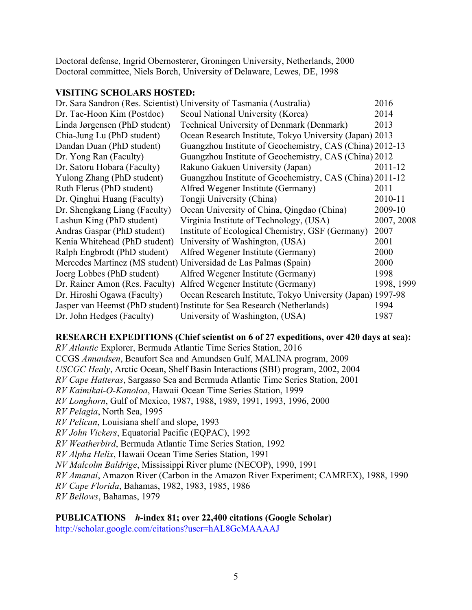Doctoral defense, Ingrid Obernosterer, Groningen University, Netherlands, 2000 Doctoral committee, Niels Borch, University of Delaware, Lewes, DE, 1998

### **VISITING SCHOLARS HOSTED:**

|                                | Dr. Sara Sandron (Res. Scientist) University of Tasmania (Australia)     | 2016       |
|--------------------------------|--------------------------------------------------------------------------|------------|
| Dr. Tae-Hoon Kim (Postdoc)     | Seoul National University (Korea)                                        | 2014       |
| Linda Jørgensen (PhD student)  | <b>Technical University of Denmark (Denmark)</b>                         | 2013       |
| Chia-Jung Lu (PhD student)     | Ocean Research Institute, Tokyo University (Japan) 2013                  |            |
| Dandan Duan (PhD student)      | Guangzhou Institute of Geochemistry, CAS (China) 2012-13                 |            |
| Dr. Yong Ran (Faculty)         | Guangzhou Institute of Geochemistry, CAS (China) 2012                    |            |
| Dr. Satoru Hobara (Faculty)    | Rakuno Gakuen University (Japan)                                         | 2011-12    |
| Yulong Zhang (PhD student)     | Guangzhou Institute of Geochemistry, CAS (China) 2011-12                 |            |
| Ruth Flerus (PhD student)      | Alfred Wegener Institute (Germany)                                       | 2011       |
| Dr. Qinghui Huang (Faculty)    | Tongji University (China)                                                | 2010-11    |
| Dr. Shengkang Liang (Faculty)  | Ocean University of China, Qingdao (China)                               | 2009-10    |
| Lashun King (PhD student)      | Virginia Institute of Technology, (USA)                                  | 2007, 2008 |
| Andras Gaspar (PhD student)    | Institute of Ecological Chemistry, GSF (Germany)                         | 2007       |
| Kenia Whitehead (PhD student)  | University of Washington, (USA)                                          | 2001       |
| Ralph Engbrodt (PhD student)   | Alfred Wegener Institute (Germany)                                       | 2000       |
|                                | Mercedes Martinez (MS student) Universidad de Las Palmas (Spain)         | 2000       |
| Joerg Lobbes (PhD student)     | Alfred Wegener Institute (Germany)                                       | 1998       |
| Dr. Rainer Amon (Res. Faculty) | Alfred Wegener Institute (Germany)                                       | 1998, 1999 |
| Dr. Hiroshi Ogawa (Faculty)    | Ocean Research Institute, Tokyo University (Japan) 1997-98               |            |
|                                | Jasper van Heemst (PhD student) Institute for Sea Research (Netherlands) | 1994       |
| Dr. John Hedges (Faculty)      | University of Washington, (USA)                                          | 1987       |

### **RESEARCH EXPEDITIONS (Chief scientist on 6 of 27 expeditions, over 420 days at sea):**

*RV Atlantic* Explorer, Bermuda Atlantic Time Series Station, 2016 CCGS *Amundsen*, Beaufort Sea and Amundsen Gulf, MALINA program, 2009 *USCGC Healy*, Arctic Ocean, Shelf Basin Interactions (SBI) program, 2002, 2004 *RV Cape Hatteras*, Sargasso Sea and Bermuda Atlantic Time Series Station, 2001 *RV Kaimikai-O-Kanoloa*, Hawaii Ocean Time Series Station, 1999 *RV Longhorn*, Gulf of Mexico, 1987, 1988, 1989, 1991, 1993, 1996, 2000 *RV Pelagia*, North Sea, 1995 *RV Pelican*, Louisiana shelf and slope, 1993 *RV John Vickers*, Equatorial Pacific (EQPAC), 1992 *RV Weatherbird*, Bermuda Atlantic Time Series Station, 1992 *RV Alpha Helix*, Hawaii Ocean Time Series Station, 1991 *NV Malcolm Baldrige*, Mississippi River plume (NECOP), 1990, 1991 *RV Amanai*, Amazon River (Carbon in the Amazon River Experiment; CAMREX), 1988, 1990 *RV Cape Florida*, Bahamas, 1982, 1983, 1985, 1986 *RV Bellows*, Bahamas, 1979

**PUBLICATIONS** *h***-index 81; over 22,400 citations (Google Scholar)** http://scholar.google.com/citations?user=hAL8GcMAAAAJ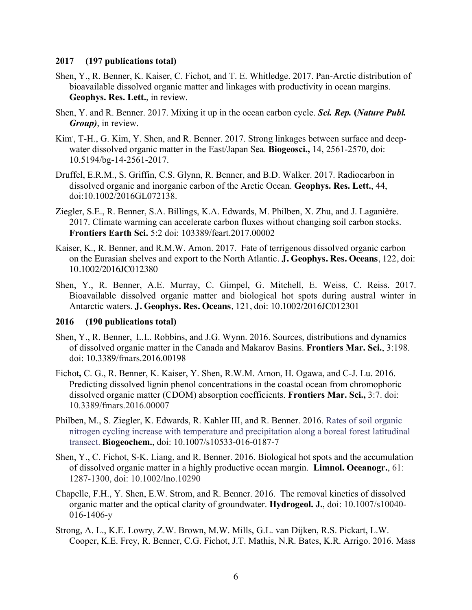#### **2017 (197 publications total)**

- Shen, Y., R. Benner, K. Kaiser, C. Fichot, and T. E. Whitledge. 2017. Pan-Arctic distribution of bioavailable dissolved organic matter and linkages with productivity in ocean margins. **Geophys. Res. Lett.**, in review.
- Shen, Y. and R. Benner. 2017. Mixing it up in the ocean carbon cycle. *Sci. Rep.* **(***Nature Publ. Group)*, in review.
- Kim', T-H., G. Kim, Y. Shen, and R. Benner. 2017. Strong linkages between surface and deepwater dissolved organic matter in the East/Japan Sea. **Biogeosci.,** 14, 2561-2570, doi: 10.5194/bg-14-2561-2017.
- Druffel, E.R.M., S. Griffin, C.S. Glynn, R. Benner, and B.D. Walker. 2017. Radiocarbon in dissolved organic and inorganic carbon of the Arctic Ocean. **Geophys. Res. Lett.**, 44, doi:10.1002/2016GL072138.
- Ziegler, S.E., R. Benner, S.A. Billings, K.A. Edwards, M. Philben, X. Zhu, and J. Laganière. 2017. Climate warming can accelerate carbon fluxes without changing soil carbon stocks. **Frontiers Earth Sci.** 5:2 doi: 103389/feart.2017.00002
- Kaiser, K., R. Benner, and R.M.W. Amon. 2017. Fate of terrigenous dissolved organic carbon on the Eurasian shelves and export to the North Atlantic. **J. Geophys. Res. Oceans**, 122, doi: 10.1002/2016JC012380
- Shen, Y., R. Benner, A.E. Murray, C. Gimpel, G. Mitchell, E. Weiss, C. Reiss. 2017. Bioavailable dissolved organic matter and biological hot spots during austral winter in Antarctic waters. **J. Geophys. Res. Oceans**, 121, doi: 10.1002/2016JC012301

### **2016 (190 publications total)**

- Shen, Y., R. Benner, L.L. Robbins, and J.G. Wynn. 2016. Sources, distributions and dynamics of dissolved organic matter in the Canada and Makarov Basins. **Frontiers Mar. Sci.**, 3:198. doi: 10.3389/fmars.2016.00198
- Fichot**,** C. G., R. Benner, K. Kaiser, Y. Shen, R.W.M. Amon, H. Ogawa, and C-J. Lu. 2016. Predicting dissolved lignin phenol concentrations in the coastal ocean from chromophoric dissolved organic matter (CDOM) absorption coefficients. **Frontiers Mar. Sci.,** 3:7. doi: 10.3389/fmars.2016.00007
- Philben, M., S. Ziegler, K. Edwards, R. Kahler III, and R. Benner. 2016. Rates of soil organic nitrogen cycling increase with temperature and precipitation along a boreal forest latitudinal transect. **Biogeochem.**, doi: 10.1007/s10533-016-0187-7
- Shen, Y., C. Fichot, S-K. Liang, and R. Benner. 2016. Biological hot spots and the accumulation of dissolved organic matter in a highly productive ocean margin. **Limnol. Oceanogr.**, 61: 1287-1300, doi: 10.1002/lno.10290
- Chapelle, F.H., Y. Shen, E.W. Strom, and R. Benner. 2016. The removal kinetics of dissolved organic matter and the optical clarity of groundwater. **Hydrogeol. J.**, doi: 10.1007/s10040- 016-1406-y
- Strong, A. L., K.E. Lowry, Z.W. Brown, M.W. Mills, G.L. van Dijken, R.S. Pickart, L.W. Cooper, K.E. Frey, R. Benner, C.G. Fichot, J.T. Mathis, N.R. Bates, K.R. Arrigo. 2016. Mass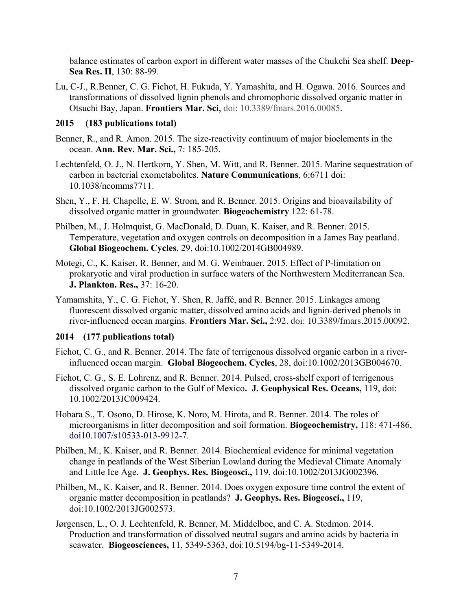balance estimates of carbon export in different water masses of the Chukchi Sea shelf. **Deep-Sea Res. II**, 130: 88-99.

Lu, C-J., R.Benner, C. G. Fichot, H. Fukuda, Y. Yamashita, and H. Ogawa. 2016. Sources and transformations of dissolved lignin phenols and chromophoric dissolved organic matter in Otsuchi Bay, Japan. **Frontiers Mar. Sci**, doi: 10.3389/fmars.2016.00085.

### **2015 (183 publications total)**

- Benner, R., and R. Amon. 2015. The size-reactivity continuum of major bioelements in the ocean. **Ann. Rev. Mar. Sci.,** 7: 185-205.
- Lechtenfeld, O. J., N. Hertkorn, Y. Shen, M. Witt, and R. Benner. 2015. Marine sequestration of carbon in bacterial exometabolites. **Nature Communications**, 6:6711 doi: 10.1038/ncomms7711.
- Shen, Y., F. H. Chapelle, E. W. Strom, and R. Benner. 2015. Origins and bioavailability of dissolved organic matter in groundwater. **Biogeochemistry** 122: 61-78.
- Philben, M., J. Holmquist, G. MacDonald, D. Duan, K. Kaiser, and R. Benner. 2015. Temperature, vegetation and oxygen controls on decomposition in a James Bay peatland. **Global Biogeochem. Cycles**, 29, doi:10.1002/2014GB004989.
- Motegi, C., K. Kaiser, R. Benner, and M. G. Weinbauer. 2015. Effect of P-limitation on prokaryotic and viral production in surface waters of the Northwestern Mediterranean Sea. **J. Plankton. Res.,** 37: 16-20.
- Yamamshita, Y., C. G. Fichot, Y. Shen, R. Jaffé, and R. Benner. 2015. Linkages among fluorescent dissolved organic matter, dissolved amino acids and lignin-derived phenols in river-influenced ocean margins. **Frontiers Mar. Sci.,** 2:92. doi: 10.3389/fmars.2015.00092.

### **2014 (177 publications total)**

- Fichot, C. G., and R. Benner. 2014. The fate of terrigenous dissolved organic carbon in a riverinfluenced ocean margin. **Global Biogeochem. Cycles**, 28, doi:10.1002/2013GB004670.
- Fichot, C. G., S. E. Lohrenz, and R. Benner. 2014. Pulsed, cross-shelf export of terrigenous dissolved organic carbon to the Gulf of Mexico**. J. Geophysical Res. Oceans,** 119, doi: 10.1002/2013JC009424.
- Hobara S., T. Osono, D. Hirose, K. Noro, M. Hirota, and R. Benner. 2014. The roles of microorganisms in litter decomposition and soil formation. **Biogeochemistry,** 118: 471-486, doi10.1007/s10533-013-9912-7.
- Philben, M., K. Kaiser, and R. Benner. 2014. Biochemical evidence for minimal vegetation change in peatlands of the West Siberian Lowland during the Medieval Climate Anomaly and Little Ice Age. **J. Geophys. Res. Biogeosci.,** 119, doi:10.1002/2013JG002396.
- Philben, M., K. Kaiser, and R. Benner. 2014. Does oxygen exposure time control the extent of organic matter decomposition in peatlands? **J. Geophys. Res. Biogeosci.,** 119, doi:10.1002/2013JG002573.
- Jørgensen, L., O. J. Lechtenfeld, R. Benner, M. Middelboe, and C. A. Stedmon. 2014. Production and transformation of dissolved neutral sugars and amino acids by bacteria in seawater. **Biogeosciences,** 11, 5349-5363, doi:10.5194/bg-11-5349-2014.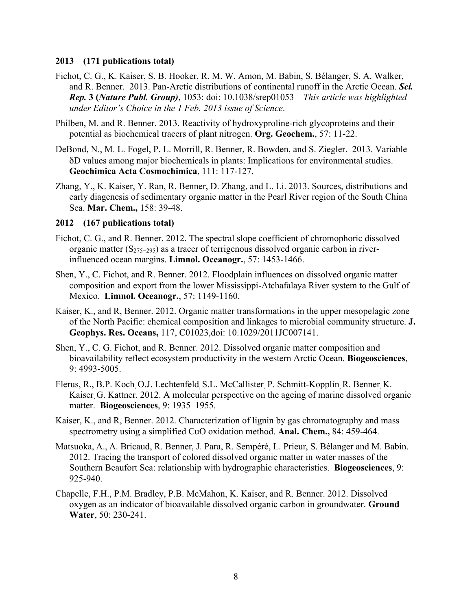#### **2013 (171 publications total)**

- Fichot, C. G., K. Kaiser, S. B. Hooker, R. M. W. Amon, M. Babin, S. Bélanger, S. A. Walker, and R. Benner. 2013. Pan-Arctic distributions of continental runoff in the Arctic Ocean. *Sci. Rep.* **3 (***Nature Publ. Group)*, 1053: doi: 10.1038/srep01053 *This article was highlighted under Editor's Choice in the 1 Feb. 2013 issue of Science*.
- Philben, M. and R. Benner. 2013. Reactivity of hydroxyproline-rich glycoproteins and their potential as biochemical tracers of plant nitrogen. **Org. Geochem.**, 57: 11-22.
- DeBond, N., M. L. Fogel, P. L. Morrill, R. Benner, R. Bowden, and S. Ziegler. 2013. Variable δD values among major biochemicals in plants: Implications for environmental studies. **Geochimica Acta Cosmochimica**, 111: 117-127.
- Zhang, Y., K. Kaiser, Y. Ran, R. Benner, D. Zhang, and L. Li. 2013. Sources, distributions and early diagenesis of sedimentary organic matter in the Pearl River region of the South China Sea. **Mar. Chem.,** 158: 39-48.

### **2012 (167 publications total)**

- Fichot, C. G., and R. Benner. 2012. The spectral slope coefficient of chromophoric dissolved organic matter  $(S_{275-295})$  as a tracer of terrigenous dissolved organic carbon in riverinfluenced ocean margins. **Limnol. Oceanogr.**, 57: 1453-1466.
- Shen, Y., C. Fichot, and R. Benner. 2012. Floodplain influences on dissolved organic matter composition and export from the lower Mississippi-Atchafalaya River system to the Gulf of Mexico. **Limnol. Oceanogr.**, 57: 1149-1160.
- Kaiser, K., and R, Benner. 2012. Organic matter transformations in the upper mesopelagic zone of the North Pacific: chemical composition and linkages to microbial community structure. **J. Geophys. Res. Oceans,** 117, C01023,doi: 10.1029/2011JC007141.
- Shen, Y., C. G. Fichot, and R. Benner. 2012. Dissolved organic matter composition and bioavailability reflect ecosystem productivity in the western Arctic Ocean. **Biogeosciences**, 9: 4993-5005.
- Flerus, R., B.P. Koch, O.J. Lechtenfeld, S.L. McCallister, P. Schmitt-Kopplin, R. Benner, K. Kaiser, G. Kattner. 2012. A molecular perspective on the ageing of marine dissolved organic matter. **Biogeosciences**, 9: 1935–1955.
- Kaiser, K., and R, Benner. 2012. Characterization of lignin by gas chromatography and mass spectrometry using a simplified CuO oxidation method. **Anal. Chem.,** 84: 459-464.
- Matsuoka, A., A. Bricaud, R. Benner, J. Para, R. Sempéré, L. Prieur, S. Bélanger and M. Babin. 2012. Tracing the transport of colored dissolved organic matter in water masses of the Southern Beaufort Sea: relationship with hydrographic characteristics. **Biogeosciences**, 9: 925-940.
- Chapelle, F.H., P.M. Bradley, P.B. McMahon, K. Kaiser, and R. Benner. 2012. Dissolved oxygen as an indicator of bioavailable dissolved organic carbon in groundwater. **Ground Water**, 50: 230-241.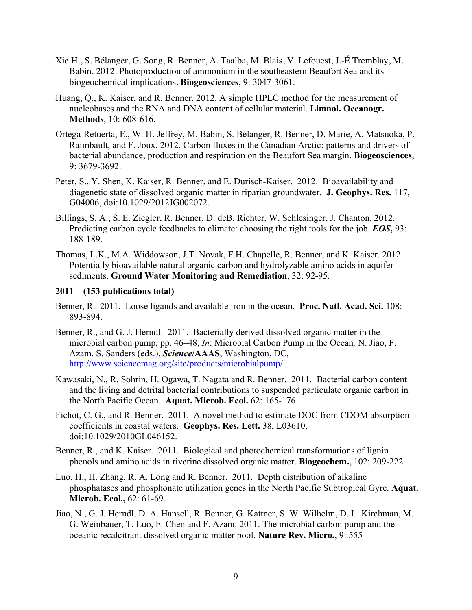- Xie H., S. Bélanger, G. Song, R. Benner, A. Taalba, M. Blais, V. Lefouest, J.-É Tremblay, M. Babin. 2012. Photoproduction of ammonium in the southeastern Beaufort Sea and its biogeochemical implications. **Biogeosciences**, 9: 3047-3061.
- Huang, Q., K. Kaiser, and R. Benner. 2012. A simple HPLC method for the measurement of nucleobases and the RNA and DNA content of cellular material. **Limnol. Oceanogr. Methods**, 10: 608-616.
- Ortega-Retuerta, E., W. H. Jeffrey, M. Babin, S. Bélanger, R. Benner, D. Marie, A. Matsuoka, P. Raimbault, and F. Joux. 2012. Carbon fluxes in the Canadian Arctic: patterns and drivers of bacterial abundance, production and respiration on the Beaufort Sea margin. **Biogeosciences**, 9: 3679-3692.
- Peter, S., Y. Shen, K. Kaiser, R. Benner, and E. Durisch-Kaiser. 2012. Bioavailability and diagenetic state of dissolved organic matter in riparian groundwater. **J. Geophys. Res.** 117, G04006, doi:10.1029/2012JG002072.
- Billings, S. A., S. E. Ziegler, R. Benner, D. deB. Richter, W. Schlesinger, J. Chanton. 2012. Predicting carbon cycle feedbacks to climate: choosing the right tools for the job. *EOS***,** 93: 188-189.
- Thomas, L.K., M.A. Widdowson, J.T. Novak, F.H. Chapelle, R. Benner, and K. Kaiser. 2012. Potentially bioavailable natural organic carbon and hydrolyzable amino acids in aquifer sediments. **Ground Water Monitoring and Remediation**, 32: 92-95.

### **2011 (153 publications total)**

- Benner, R. 2011. Loose ligands and available iron in the ocean. **Proc. Natl. Acad. Sci.** 108: 893-894.
- Benner, R., and G. J. Herndl. 2011. Bacterially derived dissolved organic matter in the microbial carbon pump, pp. 46–48, *In*: Microbial Carbon Pump in the Ocean*,* N. Jiao, F. Azam, S. Sanders (eds.), *Science***/AAAS**, Washington, DC, http://www.sciencemag.org/site/products/microbialpump/
- Kawasaki, N., R. Sohrin, H. Ogawa, T. Nagata and R. Benner. 2011. Bacterial carbon content and the living and detrital bacterial contributions to suspended particulate organic carbon in the North Pacific Ocean. **Aquat. Microb. Ecol.** 62: 165-176.
- Fichot, C. G., and R. Benner. 2011. A novel method to estimate DOC from CDOM absorption coefficients in coastal waters. **Geophys. Res. Lett.** 38, L03610, doi:10.1029/2010GL046152.
- Benner, R., and K. Kaiser. 2011. Biological and photochemical transformations of lignin phenols and amino acids in riverine dissolved organic matter. **Biogeochem.**, 102: 209-222.
- Luo, H., H. Zhang, R. A. Long and R. Benner. 2011. Depth distribution of alkaline phosphatases and phosphonate utilization genes in the North Pacific Subtropical Gyre. **Aquat. Microb. Ecol.,** 62: 61-69.
- Jiao, N., G. J. Herndl, D. A. Hansell, R. Benner, G. Kattner, S. W. Wilhelm, D. L. Kirchman, M. G. Weinbauer, T. Luo, F. Chen and F. Azam. 2011. The microbial carbon pump and the oceanic recalcitrant dissolved organic matter pool. **Nature Rev. Micro.**, 9: 555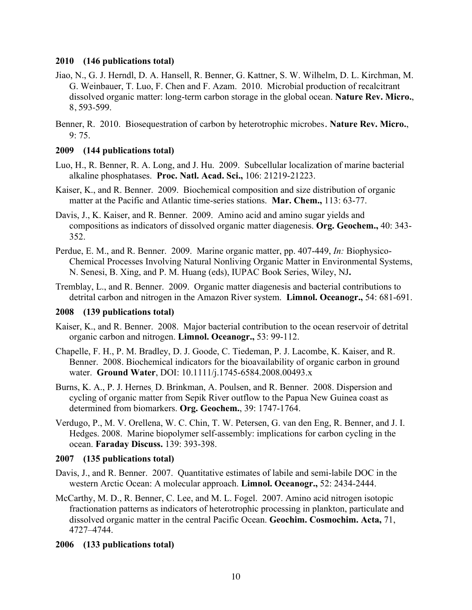### **2010 (146 publications total)**

- Jiao, N., G. J. Herndl, D. A. Hansell, R. Benner, G. Kattner, S. W. Wilhelm, D. L. Kirchman, M. G. Weinbauer, T. Luo, F. Chen and F. Azam. 2010. Microbial production of recalcitrant dissolved organic matter: long-term carbon storage in the global ocean. **Nature Rev. Micro.**, 8, 593-599.
- Benner, R. 2010. Biosequestration of carbon by heterotrophic microbes. **Nature Rev. Micro.**,  $9:75.$

### **2009 (144 publications total)**

- Luo, H., R. Benner, R. A. Long, and J. Hu. 2009. Subcellular localization of marine bacterial alkaline phosphatases. **Proc. Natl. Acad. Sci.,** 106: 21219-21223.
- Kaiser, K., and R. Benner. 2009. Biochemical composition and size distribution of organic matter at the Pacific and Atlantic time-series stations. **Mar. Chem.,** 113: 63-77.
- Davis, J., K. Kaiser, and R. Benner. 2009. Amino acid and amino sugar yields and compositions as indicators of dissolved organic matter diagenesis. **Org. Geochem.,** 40: 343- 352.
- Perdue, E. M., and R. Benner. 2009. Marine organic matter, pp. 407-449, *In:* Biophysico-Chemical Processes Involving Natural Nonliving Organic Matter in Environmental Systems, N. Senesi, B. Xing, and P. M. Huang (eds), IUPAC Book Series, Wiley, NJ**.**
- Tremblay, L., and R. Benner. 2009. Organic matter diagenesis and bacterial contributions to detrital carbon and nitrogen in the Amazon River system. **Limnol. Oceanogr.,** 54: 681-691.

#### **2008 (139 publications total)**

- Kaiser, K., and R. Benner. 2008. Major bacterial contribution to the ocean reservoir of detrital organic carbon and nitrogen. **Limnol. Oceanogr.,** 53: 99-112.
- Chapelle, F. H., P. M. Bradley, D. J. Goode, C. Tiedeman, P. J. Lacombe, K. Kaiser, and R. Benner. 2008. Biochemical indicators for the bioavailability of organic carbon in ground water. **Ground Water**, DOI: 10.1111/j.1745-6584.2008.00493.x
- Burns, K. A., P. J. Hernes, D. Brinkman, A. Poulsen, and R. Benner. 2008. Dispersion and cycling of organic matter from Sepik River outflow to the Papua New Guinea coast as determined from biomarkers. **Org. Geochem.**, 39: 1747-1764.
- Verdugo, P., M. V. Orellena, W. C. Chin, T. W. Petersen, G. van den Eng, R. Benner, and J. I. Hedges. 2008. Marine biopolymer self-assembly: implications for carbon cycling in the ocean. **Faraday Discuss.** 139: 393-398.

#### **2007 (135 publications total)**

- Davis, J., and R. Benner. 2007. Quantitative estimates of labile and semi-labile DOC in the western Arctic Ocean: A molecular approach. **Limnol. Oceanogr.,** 52: 2434-2444.
- McCarthy, M. D., R. Benner, C. Lee, and M. L. Fogel. 2007. Amino acid nitrogen isotopic fractionation patterns as indicators of heterotrophic processing in plankton, particulate and dissolved organic matter in the central Pacific Ocean. **Geochim. Cosmochim. Acta,** 71, 4727–4744.

### **2006 (133 publications total)**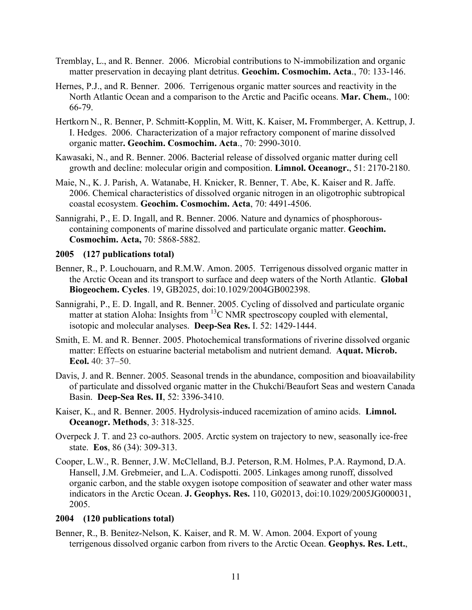- Tremblay, L., and R. Benner. 2006. Microbial contributions to N-immobilization and organic matter preservation in decaying plant detritus. **Geochim. Cosmochim. Acta**., 70: 133-146.
- Hernes, P.J., and R. Benner. 2006. Terrigenous organic matter sources and reactivity in the North Atlantic Ocean and a comparison to the Arctic and Pacific oceans. **Mar. Chem.**, 100: 66-79.
- Hertkorn N., R. Benner, P. Schmitt-Kopplin, M. Witt, K. Kaiser, M**.** Frommberger, A. Kettrup, J. I. Hedges. 2006. Characterization of a major refractory component of marine dissolved organic matter**. Geochim. Cosmochim. Acta**., 70: 2990-3010.
- Kawasaki, N., and R. Benner. 2006. Bacterial release of dissolved organic matter during cell growth and decline: molecular origin and composition. **Limnol. Oceanogr.**, 51: 2170-2180.
- Maie, N., K. J. Parish, A. Watanabe, H. Knicker, R. Benner, T. Abe, K. Kaiser and R. Jaffe. 2006. Chemical characteristics of dissolved organic nitrogen in an oligotrophic subtropical coastal ecosystem. **Geochim. Cosmochim. Acta**, 70: 4491-4506.
- Sannigrahi, P., E. D. Ingall, and R. Benner. 2006. Nature and dynamics of phosphorouscontaining components of marine dissolved and particulate organic matter. **Geochim. Cosmochim. Acta,** 70: 5868-5882.

### **2005 (127 publications total)**

- Benner, R., P. Louchouarn, and R.M.W. Amon. 2005. Terrigenous dissolved organic matter in the Arctic Ocean and its transport to surface and deep waters of the North Atlantic. **Global Biogeochem. Cycles**. 19, GB2025, doi:10.1029/2004GB002398.
- Sannigrahi, P., E. D. Ingall, and R. Benner. 2005. Cycling of dissolved and particulate organic matter at station Aloha: Insights from  ${}^{13}C$  NMR spectroscopy coupled with elemental, isotopic and molecular analyses. **Deep-Sea Res.** I. 52: 1429-1444.
- Smith, E. M. and R. Benner. 2005. Photochemical transformations of riverine dissolved organic matter: Effects on estuarine bacterial metabolism and nutrient demand. **Aquat. Microb. Ecol.** 40: 37–50.
- Davis, J. and R. Benner. 2005. Seasonal trends in the abundance, composition and bioavailability of particulate and dissolved organic matter in the Chukchi/Beaufort Seas and western Canada Basin. **Deep-Sea Res. II**, 52: 3396-3410.
- Kaiser, K., and R. Benner. 2005. Hydrolysis-induced racemization of amino acids. **Limnol. Oceanogr. Methods**, 3: 318-325.
- Overpeck J. T. and 23 co-authors. 2005. Arctic system on trajectory to new, seasonally ice-free state. **Eos**, 86 (34): 309-313.
- Cooper, L.W., R. Benner, J.W. McClelland, B.J. Peterson, R.M. Holmes, P.A. Raymond, D.A. Hansell, J.M. Grebmeier, and L.A. Codispotti. 2005. Linkages among runoff, dissolved organic carbon, and the stable oxygen isotope composition of seawater and other water mass indicators in the Arctic Ocean. **J. Geophys. Res.** 110, G02013, doi:10.1029/2005JG000031, 2005.

#### **2004 (120 publications total)**

Benner, R., B. Benitez-Nelson, K. Kaiser, and R. M. W. Amon. 2004. Export of young terrigenous dissolved organic carbon from rivers to the Arctic Ocean. **Geophys. Res. Lett.**,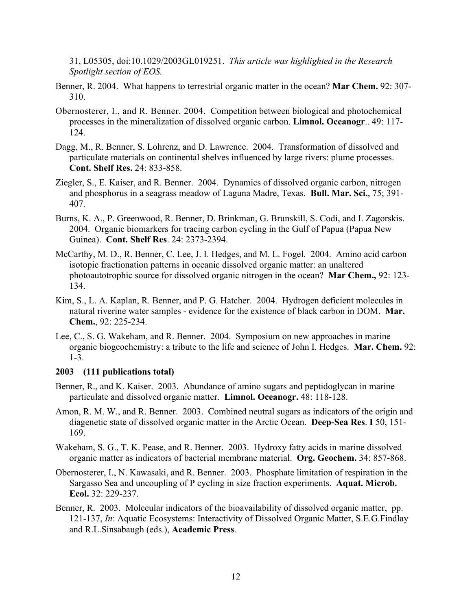31, L05305, doi:10.1029/2003GL019251. *This article was highlighted in the Research Spotlight section of EOS.*

- Benner, R. 2004. What happens to terrestrial organic matter in the ocean? **Mar Chem.** 92: 307- 310.
- Obernosterer, I., and R. Benner. 2004. Competition between biological and photochemical processes in the mineralization of dissolved organic carbon. **Limnol. Oceanogr**.. 49: 117- 124.
- Dagg, M., R. Benner, S. Lohrenz, and D. Lawrence. 2004. Transformation of dissolved and particulate materials on continental shelves influenced by large rivers: plume processes. **Cont. Shelf Res.** 24: 833-858.
- Ziegler, S., E. Kaiser, and R. Benner. 2004. Dynamics of dissolved organic carbon, nitrogen and phosphorus in a seagrass meadow of Laguna Madre, Texas. **Bull. Mar. Sci.**, 75; 391- 407.
- Burns, K. A., P. Greenwood, R. Benner, D. Brinkman, G. Brunskill, S. Codi, and I. Zagorskis. 2004. Organic biomarkers for tracing carbon cycling in the Gulf of Papua (Papua New Guinea). **Cont. Shelf Res**. 24: 2373-2394.
- McCarthy, M. D., R. Benner, C. Lee, J. I. Hedges, and M. L. Fogel. 2004. Amino acid carbon isotopic fractionation patterns in oceanic dissolved organic matter: an unaltered photoautotrophic source for dissolved organic nitrogen in the ocean? **Mar Chem.,** 92: 123- 134.
- Kim, S., L. A. Kaplan, R. Benner, and P. G. Hatcher. 2004. Hydrogen deficient molecules in natural riverine water samples - evidence for the existence of black carbon in DOM. **Mar. Chem.**, 92: 225-234.
- Lee, C., S. G. Wakeham, and R. Benner. 2004. Symposium on new approaches in marine organic biogeochemistry: a tribute to the life and science of John I. Hedges. **Mar. Chem.** 92: 1-3.

#### **2003 (111 publications total)**

- Benner, R., and K. Kaiser. 2003. Abundance of amino sugars and peptidoglycan in marine particulate and dissolved organic matter. **Limnol. Oceanogr.** 48: 118-128.
- Amon, R. M. W., and R. Benner. 2003. Combined neutral sugars as indicators of the origin and diagenetic state of dissolved organic matter in the Arctic Ocean. **Deep-Sea Res**. **I** 50, 151- 169.
- Wakeham, S. G., T. K. Pease, and R. Benner. 2003. Hydroxy fatty acids in marine dissolved organic matter as indicators of bacterial membrane material. **Org. Geochem.** 34: 857-868.
- Obernosterer, I., N. Kawasaki, and R. Benner. 2003. Phosphate limitation of respiration in the Sargasso Sea and uncoupling of P cycling in size fraction experiments. **Aquat. Microb. Ecol.** 32: 229-237.
- Benner, R. 2003. Molecular indicators of the bioavailability of dissolved organic matter, pp. 121-137, *In*: Aquatic Ecosystems: Interactivity of Dissolved Organic Matter, S.E.G.Findlay and R.L.Sinsabaugh (eds.), **Academic Press**.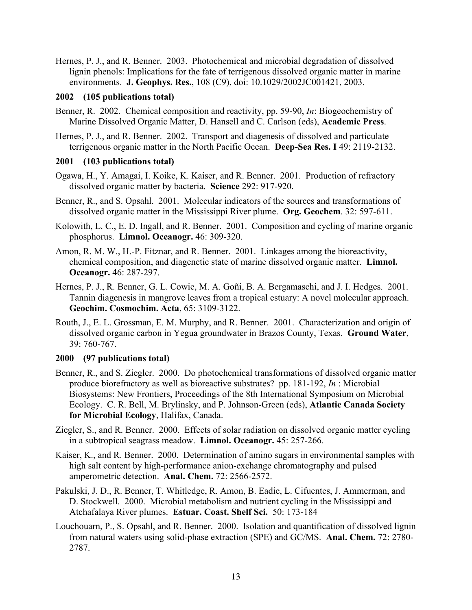Hernes, P. J., and R. Benner. 2003. Photochemical and microbial degradation of dissolved lignin phenols: Implications for the fate of terrigenous dissolved organic matter in marine environments. **J. Geophys. Res.**, 108 (C9), doi: 10.1029/2002JC001421, 2003.

### **2002 (105 publications total)**

- Benner, R. 2002. Chemical composition and reactivity, pp. 59-90, *In*: Biogeochemistry of Marine Dissolved Organic Matter, D. Hansell and C. Carlson (eds), **Academic Press**.
- Hernes, P. J., and R. Benner. 2002. Transport and diagenesis of dissolved and particulate terrigenous organic matter in the North Pacific Ocean. **Deep-Sea Res. I** 49: 2119-2132.

### **2001 (103 publications total)**

- Ogawa, H., Y. Amagai, I. Koike, K. Kaiser, and R. Benner. 2001. Production of refractory dissolved organic matter by bacteria. **Science** 292: 917-920.
- Benner, R., and S. Opsahl. 2001. Molecular indicators of the sources and transformations of dissolved organic matter in the Mississippi River plume. **Org. Geochem**. 32: 597-611.
- Kolowith, L. C., E. D. Ingall, and R. Benner. 2001. Composition and cycling of marine organic phosphorus. **Limnol. Oceanogr.** 46: 309-320.
- Amon, R. M. W., H.-P. Fitznar, and R. Benner. 2001. Linkages among the bioreactivity, chemical composition, and diagenetic state of marine dissolved organic matter. **Limnol. Oceanogr.** 46: 287-297.
- Hernes, P. J., R. Benner, G. L. Cowie, M. A. Goñi, B. A. Bergamaschi, and J. I. Hedges. 2001. Tannin diagenesis in mangrove leaves from a tropical estuary: A novel molecular approach. **Geochim. Cosmochim. Acta**, 65: 3109-3122.
- Routh, J., E. L. Grossman, E. M. Murphy, and R. Benner. 2001. Characterization and origin of dissolved organic carbon in Yegua groundwater in Brazos County, Texas. **Ground Water**, 39: 760-767.

### **2000 (97 publications total)**

- Benner, R., and S. Ziegler. 2000. Do photochemical transformations of dissolved organic matter produce biorefractory as well as bioreactive substrates? pp. 181-192, *In* : Microbial Biosystems: New Frontiers, Proceedings of the 8th International Symposium on Microbial Ecology. C. R. Bell, M. Brylinsky, and P. Johnson-Green (eds), **Atlantic Canada Society for Microbial Ecology**, Halifax, Canada.
- Ziegler, S., and R. Benner. 2000. Effects of solar radiation on dissolved organic matter cycling in a subtropical seagrass meadow. **Limnol. Oceanogr.** 45: 257-266.
- Kaiser, K., and R. Benner. 2000. Determination of amino sugars in environmental samples with high salt content by high-performance anion-exchange chromatography and pulsed amperometric detection. **Anal. Chem.** 72: 2566-2572.
- Pakulski, J. D., R. Benner, T. Whitledge, R. Amon, B. Eadie, L. Cifuentes, J. Ammerman, and D. Stockwell. 2000. Microbial metabolism and nutrient cycling in the Mississippi and Atchafalaya River plumes. **Estuar. Coast. Shelf Sci.** 50: 173-184
- Louchouarn, P., S. Opsahl, and R. Benner. 2000. Isolation and quantification of dissolved lignin from natural waters using solid-phase extraction (SPE) and GC/MS. **Anal. Chem.** 72: 2780- 2787.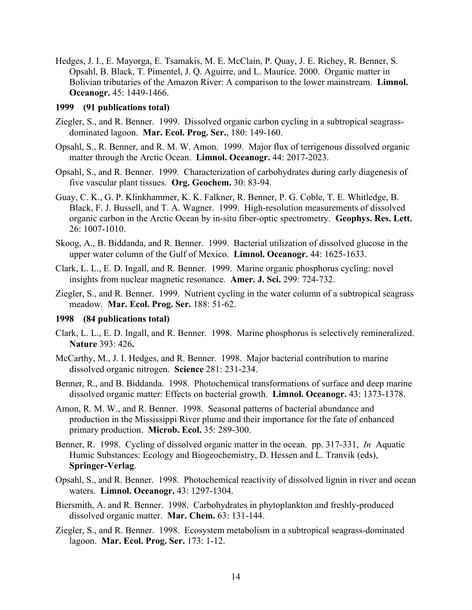Hedges, J. I., E. Mayorga, E. Tsamakis, M. E. McClain, P. Quay, J. E. Richey, R. Benner, S. Opsahl, B. Black, T. Pimentel, J. Q. Aguirre, and L. Maurice. 2000. Organic matter in Bolivian tributaries of the Amazon River: A comparison to the lower mainstream. **Limnol. Oceanogr.** 45: 1449-1466.

#### **1999 (91 publications total)**

- Ziegler, S., and R. Benner. 1999. Dissolved organic carbon cycling in a subtropical seagrassdominated lagoon. **Mar. Ecol. Prog. Ser.**, 180: 149-160.
- Opsahl, S., R. Benner, and R. M. W. Amon. 1999. Major flux of terrigenous dissolved organic matter through the Arctic Ocean. **Limnol. Oceanogr.** 44: 2017-2023.
- Opsahl, S., and R. Benner. 1999. Characterization of carbohydrates during early diagenesis of five vascular plant tissues. **Org. Geochem.** 30: 83-94.
- Guay, C. K., G. P. Klinkhammer, K. K. Falkner, R. Benner, P. G. Coble, T. E. Whitledge, B. Black, F. J. Bussell, and T. A. Wagner. 1999. High-resolution measurements of dissolved organic carbon in the Arctic Ocean by in-situ fiber-optic spectrometry. **Geophys. Res. Lett.** 26: 1007-1010.
- Skoog, A., B. Biddanda, and R. Benner. 1999. Bacterial utilization of dissolved glucose in the upper water column of the Gulf of Mexico. **Limnol. Oceanogr.** 44: 1625-1633.
- Clark, L. L., E. D. Ingall, and R. Benner. 1999. Marine organic phosphorus cycling: novel insights from nuclear magnetic resonance. **Amer. J. Sci.** 299: 724-732.
- Ziegler, S., and R. Benner. 1999. Nutrient cycling in the water column of a subtropical seagrass meadow. **Mar. Ecol. Prog. Ser.** 188: 51-62.

#### **1998 (84 publications total)**

- Clark, L. L., E. D. Ingall, and R. Benner. 1998. Marine phosphorus is selectively remineralized. **Nature** 393: 426**.**
- McCarthy, M., J. I. Hedges, and R. Benner. 1998. Major bacterial contribution to marine dissolved organic nitrogen. **Science** 281: 231-234.
- Benner, R., and B. Biddanda. 1998. Photochemical transformations of surface and deep marine dissolved organic matter: Effects on bacterial growth. **Limnol. Oceanogr.** 43: 1373-1378.
- Amon, R. M. W., and R. Benner. 1998. Seasonal patterns of bacterial abundance and production in the Mississippi River plume and their importance for the fate of enhanced primary production. **Microb. Ecol.** 35: 289-300.
- Benner, R. 1998. Cycling of dissolved organic matter in the ocean. pp. 317-331, *In* Aquatic Humic Substances: Ecology and Biogeochemistry, D. Hessen and L. Tranvik (eds), **Springer-Verlag**.
- Opsahl, S., and R. Benner. 1998. Photochemical reactivity of dissolved lignin in river and ocean waters. **Limnol. Oceanogr.** 43: 1297-1304.
- Biersmith, A. and R. Benner. 1998. Carbohydrates in phytoplankton and freshly-produced dissolved organic matter. **Mar. Chem.** 63: 131-144.
- Ziegler, S., and R. Benner. 1998. Ecosystem metabolism in a subtropical seagrass-dominated lagoon. **Mar. Ecol. Prog. Ser.** 173: 1-12.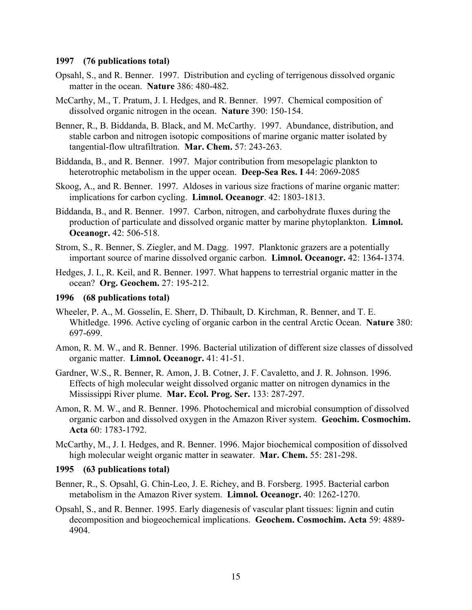#### **1997 (76 publications total)**

- Opsahl, S., and R. Benner. 1997. Distribution and cycling of terrigenous dissolved organic matter in the ocean. **Nature** 386: 480-482.
- McCarthy, M., T. Pratum, J. I. Hedges, and R. Benner. 1997. Chemical composition of dissolved organic nitrogen in the ocean. **Nature** 390: 150-154.
- Benner, R., B. Biddanda, B. Black, and M. McCarthy. 1997. Abundance, distribution, and stable carbon and nitrogen isotopic compositions of marine organic matter isolated by tangential-flow ultrafiltration. **Mar. Chem.** 57: 243-263.
- Biddanda, B., and R. Benner. 1997. Major contribution from mesopelagic plankton to heterotrophic metabolism in the upper ocean. **Deep-Sea Res. I** 44: 2069-2085
- Skoog, A., and R. Benner. 1997. Aldoses in various size fractions of marine organic matter: implications for carbon cycling. **Limnol. Oceanogr**. 42: 1803-1813.
- Biddanda, B., and R. Benner. 1997. Carbon, nitrogen, and carbohydrate fluxes during the production of particulate and dissolved organic matter by marine phytoplankton. **Limnol. Oceanogr.** 42: 506-518.
- Strom, S., R. Benner, S. Ziegler, and M. Dagg. 1997. Planktonic grazers are a potentially important source of marine dissolved organic carbon. **Limnol. Oceanogr.** 42: 1364-1374.
- Hedges, J. I., R. Keil, and R. Benner. 1997. What happens to terrestrial organic matter in the ocean? **Org. Geochem.** 27: 195-212.

#### **1996 (68 publications total)**

- Wheeler, P. A., M. Gosselin, E. Sherr, D. Thibault, D. Kirchman, R. Benner, and T. E. Whitledge. 1996. Active cycling of organic carbon in the central Arctic Ocean. **Nature** 380: 697-699.
- Amon, R. M. W., and R. Benner. 1996. Bacterial utilization of different size classes of dissolved organic matter. **Limnol. Oceanogr.** 41: 41-51.
- Gardner, W.S., R. Benner, R. Amon, J. B. Cotner, J. F. Cavaletto, and J. R. Johnson. 1996. Effects of high molecular weight dissolved organic matter on nitrogen dynamics in the Mississippi River plume. **Mar. Ecol. Prog. Ser.** 133: 287-297.
- Amon, R. M. W., and R. Benner. 1996. Photochemical and microbial consumption of dissolved organic carbon and dissolved oxygen in the Amazon River system. **Geochim. Cosmochim. Acta** 60: 1783-1792.
- McCarthy, M., J. I. Hedges, and R. Benner. 1996. Major biochemical composition of dissolved high molecular weight organic matter in seawater. **Mar. Chem.** 55: 281-298.

#### **1995 (63 publications total)**

- Benner, R., S. Opsahl, G. Chin-Leo, J. E. Richey, and B. Forsberg. 1995. Bacterial carbon metabolism in the Amazon River system. **Limnol. Oceanogr.** 40: 1262-1270.
- Opsahl, S., and R. Benner. 1995. Early diagenesis of vascular plant tissues: lignin and cutin decomposition and biogeochemical implications. **Geochem. Cosmochim. Acta** 59: 4889- 4904.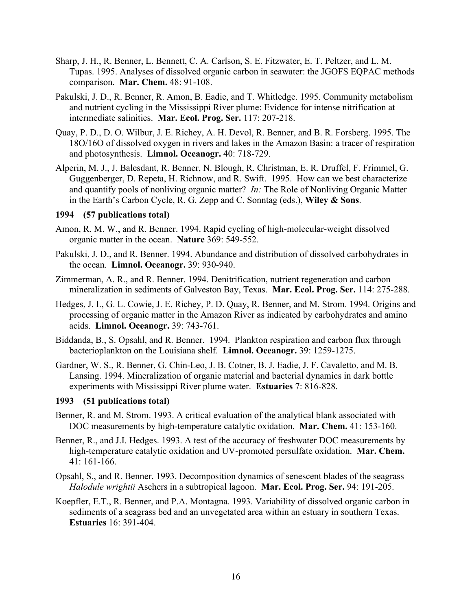- Sharp, J. H., R. Benner, L. Bennett, C. A. Carlson, S. E. Fitzwater, E. T. Peltzer, and L. M. Tupas. 1995. Analyses of dissolved organic carbon in seawater: the JGOFS EQPAC methods comparison. **Mar. Chem.** 48: 91-108.
- Pakulski, J. D., R. Benner, R. Amon, B. Eadie, and T. Whitledge. 1995. Community metabolism and nutrient cycling in the Mississippi River plume: Evidence for intense nitrification at intermediate salinities. **Mar. Ecol. Prog. Ser.** 117: 207-218.
- Quay, P. D., D. O. Wilbur, J. E. Richey, A. H. Devol, R. Benner, and B. R. Forsberg. 1995. The 18O/16O of dissolved oxygen in rivers and lakes in the Amazon Basin: a tracer of respiration and photosynthesis. **Limnol. Oceanogr.** 40: 718-729.
- Alperin, M. J., J. Balesdant, R. Benner, N. Blough, R. Christman, E. R. Druffel, F. Frimmel, G. Guggenberger, D. Repeta, H. Richnow, and R. Swift. 1995. How can we best characterize and quantify pools of nonliving organic matter? *In:* The Role of Nonliving Organic Matter in the Earth's Carbon Cycle, R. G. Zepp and C. Sonntag (eds.), **Wiley & Sons**.

#### **1994 (57 publications total)**

- Amon, R. M. W., and R. Benner. 1994. Rapid cycling of high-molecular-weight dissolved organic matter in the ocean. **Nature** 369: 549-552.
- Pakulski, J. D., and R. Benner. 1994. Abundance and distribution of dissolved carbohydrates in the ocean. **Limnol. Oceanogr.** 39: 930-940.
- Zimmerman, A. R., and R. Benner. 1994. Denitrification, nutrient regeneration and carbon mineralization in sediments of Galveston Bay, Texas. **Mar. Ecol. Prog. Ser.** 114: 275-288.
- Hedges, J. I., G. L. Cowie, J. E. Richey, P. D. Quay, R. Benner, and M. Strom. 1994. Origins and processing of organic matter in the Amazon River as indicated by carbohydrates and amino acids. **Limnol. Oceanogr.** 39: 743-761.
- Biddanda, B., S. Opsahl, and R. Benner. 1994. Plankton respiration and carbon flux through bacterioplankton on the Louisiana shelf. **Limnol. Oceanogr.** 39: 1259-1275.
- Gardner, W. S., R. Benner, G. Chin-Leo, J. B. Cotner, B. J. Eadie, J. F. Cavaletto, and M. B. Lansing. 1994. Mineralization of organic material and bacterial dynamics in dark bottle experiments with Mississippi River plume water. **Estuaries** 7: 816-828.

#### **1993 (51 publications total)**

- Benner, R. and M. Strom. 1993. A critical evaluation of the analytical blank associated with DOC measurements by high-temperature catalytic oxidation. **Mar. Chem.** 41: 153-160.
- Benner, R., and J.I. Hedges. 1993. A test of the accuracy of freshwater DOC measurements by high-temperature catalytic oxidation and UV-promoted persulfate oxidation. **Mar. Chem.** 41: 161-166.
- Opsahl, S., and R. Benner. 1993. Decomposition dynamics of senescent blades of the seagrass *Halodule wrightii* Aschers in a subtropical lagoon. **Mar. Ecol. Prog. Ser.** 94: 191-205.
- Koepfler, E.T., R. Benner, and P.A. Montagna. 1993. Variability of dissolved organic carbon in sediments of a seagrass bed and an unvegetated area within an estuary in southern Texas. **Estuaries** 16: 391-404.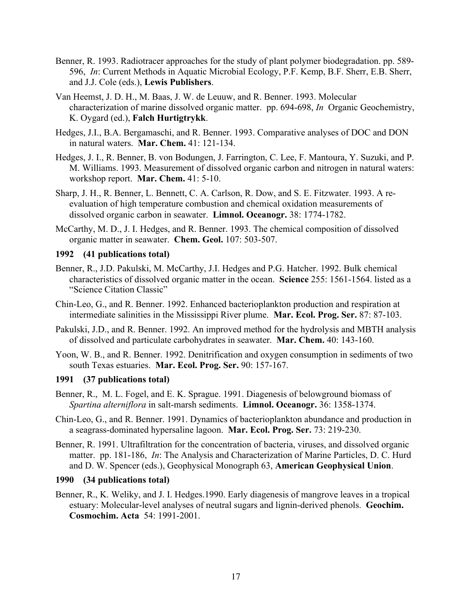- Benner, R. 1993. Radiotracer approaches for the study of plant polymer biodegradation. pp. 589- 596, *In*: Current Methods in Aquatic Microbial Ecology, P.F. Kemp, B.F. Sherr, E.B. Sherr, and J.J. Cole (eds.), **Lewis Publishers**.
- Van Heemst, J. D. H., M. Baas, J. W. de Leuuw, and R. Benner. 1993. Molecular characterization of marine dissolved organic matter. pp. 694-698, *In* Organic Geochemistry, K. Oygard (ed.), **Falch Hurtigtrykk**.
- Hedges, J.I., B.A. Bergamaschi, and R. Benner. 1993. Comparative analyses of DOC and DON in natural waters. **Mar. Chem.** 41: 121-134.
- Hedges, J. I., R. Benner, B. von Bodungen, J. Farrington, C. Lee, F. Mantoura, Y. Suzuki, and P. M. Williams. 1993. Measurement of dissolved organic carbon and nitrogen in natural waters: workshop report. **Mar. Chem.** 41: 5-10.
- Sharp, J. H., R. Benner, L. Bennett, C. A. Carlson, R. Dow, and S. E. Fitzwater. 1993. A reevaluation of high temperature combustion and chemical oxidation measurements of dissolved organic carbon in seawater. **Limnol. Oceanogr.** 38: 1774-1782.
- McCarthy, M. D., J. I. Hedges, and R. Benner. 1993. The chemical composition of dissolved organic matter in seawater. **Chem. Geol.** 107: 503-507.

### **1992 (41 publications total)**

- Benner, R., J.D. Pakulski, M. McCarthy, J.I. Hedges and P.G. Hatcher. 1992. Bulk chemical characteristics of dissolved organic matter in the ocean. **Science** 255: 1561-1564. listed as a "Science Citation Classic"
- Chin-Leo, G., and R. Benner. 1992. Enhanced bacterioplankton production and respiration at intermediate salinities in the Mississippi River plume. **Mar. Ecol. Prog. Ser.** 87: 87-103.
- Pakulski, J.D., and R. Benner. 1992. An improved method for the hydrolysis and MBTH analysis of dissolved and particulate carbohydrates in seawater. **Mar. Chem.** 40: 143-160.
- Yoon, W. B., and R. Benner. 1992. Denitrification and oxygen consumption in sediments of two south Texas estuaries. **Mar. Ecol. Prog. Ser.** 90: 157-167.

#### **1991 (37 publications total)**

- Benner, R., M. L. Fogel, and E. K. Sprague. 1991. Diagenesis of belowground biomass of *Spartina alterniflora* in salt-marsh sediments. **Limnol. Oceanogr.** 36: 1358-1374.
- Chin-Leo, G., and R. Benner. 1991. Dynamics of bacterioplankton abundance and production in a seagrass-dominated hypersaline lagoon. **Mar. Ecol. Prog. Ser.** 73: 219-230.
- Benner, R. 1991. Ultrafiltration for the concentration of bacteria, viruses, and dissolved organic matter. pp. 181-186, *In*: The Analysis and Characterization of Marine Particles, D. C. Hurd and D. W. Spencer (eds.), Geophysical Monograph 63, **American Geophysical Union**.

### **1990 (34 publications total)**

Benner, R., K. Weliky, and J. I. Hedges.1990. Early diagenesis of mangrove leaves in a tropical estuary: Molecular-level analyses of neutral sugars and lignin-derived phenols. **Geochim. Cosmochim. Acta** 54: 1991-2001.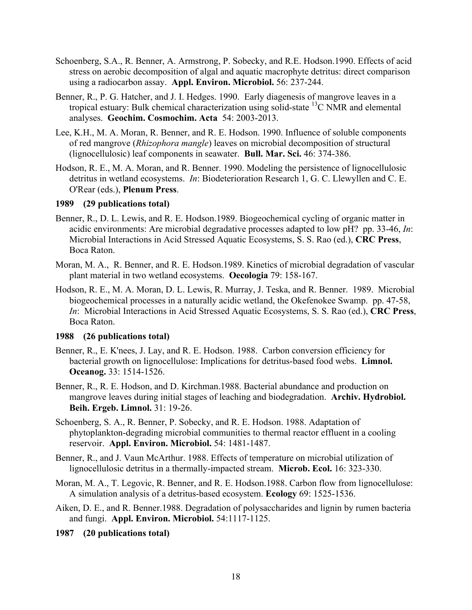- Schoenberg, S.A., R. Benner, A. Armstrong, P. Sobecky, and R.E. Hodson.1990. Effects of acid stress on aerobic decomposition of algal and aquatic macrophyte detritus: direct comparison using a radiocarbon assay. **Appl. Environ. Microbiol.** 56: 237-244.
- Benner, R., P. G. Hatcher, and J. I. Hedges. 1990. Early diagenesis of mangrove leaves in a tropical estuary: Bulk chemical characterization using solid-state  $^{13}$ C NMR and elemental analyses. **Geochim. Cosmochim. Acta** 54: 2003-2013.
- Lee, K.H., M. A. Moran, R. Benner, and R. E. Hodson. 1990. Influence of soluble components of red mangrove (*Rhizophora mangle*) leaves on microbial decomposition of structural (lignocellulosic) leaf components in seawater. **Bull. Mar. Sci.** 46: 374-386.
- Hodson, R. E., M. A. Moran, and R. Benner. 1990. Modeling the persistence of lignocellulosic detritus in wetland ecosystems. *In*: Biodeterioration Research 1, G. C. Llewyllen and C. E. O'Rear (eds.), **Plenum Press**.

### **1989 (29 publications total)**

- Benner, R., D. L. Lewis, and R. E. Hodson.1989. Biogeochemical cycling of organic matter in acidic environments: Are microbial degradative processes adapted to low pH? pp. 33-46, *In*: Microbial Interactions in Acid Stressed Aquatic Ecosystems, S. S. Rao (ed.), **CRC Press**, Boca Raton.
- Moran, M. A., R. Benner, and R. E. Hodson.1989. Kinetics of microbial degradation of vascular plant material in two wetland ecosystems. **Oecologia** 79: 158-167.
- Hodson, R. E., M. A. Moran, D. L. Lewis, R. Murray, J. Teska, and R. Benner. 1989. Microbial biogeochemical processes in a naturally acidic wetland, the Okefenokee Swamp. pp. 47-58, *In*: Microbial Interactions in Acid Stressed Aquatic Ecosystems, S. S. Rao (ed.), **CRC Press**, Boca Raton.

#### **1988 (26 publications total)**

- Benner, R., E. K'nees, J. Lay, and R. E. Hodson. 1988. Carbon conversion efficiency for bacterial growth on lignocellulose: Implications for detritus-based food webs. **Limnol. Oceanog.** 33: 1514-1526.
- Benner, R., R. E. Hodson, and D. Kirchman.1988. Bacterial abundance and production on mangrove leaves during initial stages of leaching and biodegradation. **Archiv. Hydrobiol. Beih. Ergeb. Limnol.** 31: 19-26.
- Schoenberg, S. A., R. Benner, P. Sobecky, and R. E. Hodson. 1988. Adaptation of phytoplankton-degrading microbial communities to thermal reactor effluent in a cooling reservoir. **Appl. Environ. Microbiol.** 54: 1481-1487.
- Benner, R., and J. Vaun McArthur. 1988. Effects of temperature on microbial utilization of lignocellulosic detritus in a thermally-impacted stream. **Microb. Ecol.** 16: 323-330.
- Moran, M. A., T. Legovic, R. Benner, and R. E. Hodson.1988. Carbon flow from lignocellulose: A simulation analysis of a detritus-based ecosystem. **Ecology** 69: 1525-1536.
- Aiken, D. E., and R. Benner.1988. Degradation of polysaccharides and lignin by rumen bacteria and fungi. **Appl. Environ. Microbiol.** 54:1117-1125.

**1987 (20 publications total)**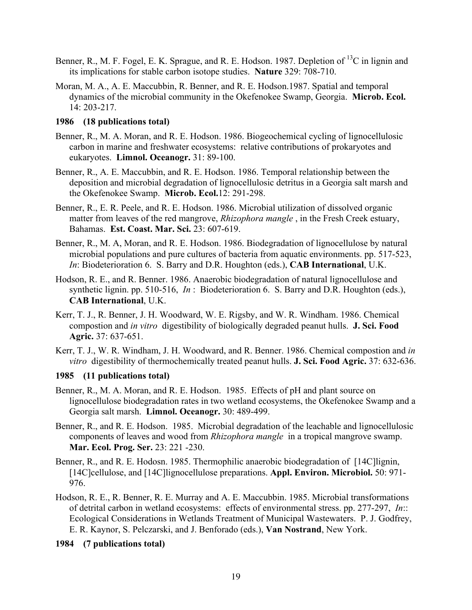- Benner, R., M. F. Fogel, E. K. Sprague, and R. E. Hodson. 1987. Depletion of <sup>13</sup>C in lignin and its implications for stable carbon isotope studies. **Nature** 329: 708-710.
- Moran, M. A., A. E. Maccubbin, R. Benner, and R. E. Hodson.1987. Spatial and temporal dynamics of the microbial community in the Okefenokee Swamp, Georgia. **Microb. Ecol.** 14: 203-217.

### **1986 (18 publications total)**

- Benner, R., M. A. Moran, and R. E. Hodson. 1986. Biogeochemical cycling of lignocellulosic carbon in marine and freshwater ecosystems: relative contributions of prokaryotes and eukaryotes. **Limnol. Oceanogr.** 31: 89-100.
- Benner, R., A. E. Maccubbin, and R. E. Hodson. 1986. Temporal relationship between the deposition and microbial degradation of lignocellulosic detritus in a Georgia salt marsh and the Okefenokee Swamp. **Microb. Ecol.**12: 291-298.
- Benner, R., E. R. Peele, and R. E. Hodson. 1986. Microbial utilization of dissolved organic matter from leaves of the red mangrove, *Rhizophora mangle* , in the Fresh Creek estuary, Bahamas. **Est. Coast. Mar. Sci.** 23: 607-619.
- Benner, R., M. A, Moran, and R. E. Hodson. 1986. Biodegradation of lignocellulose by natural microbial populations and pure cultures of bacteria from aquatic environments. pp. 517-523, *In*: Biodeterioration 6. S. Barry and D.R. Houghton (eds.), **CAB International**, U.K.
- Hodson, R. E., and R. Benner. 1986. Anaerobic biodegradation of natural lignocellulose and synthetic lignin. pp. 510-516, *In* : Biodeterioration 6. S. Barry and D.R. Houghton (eds.), **CAB International**, U.K.
- Kerr, T. J., R. Benner, J. H. Woodward, W. E. Rigsby, and W. R. Windham. 1986. Chemical compostion and *in vitro* digestibility of biologically degraded peanut hulls. **J. Sci. Food Agric.** 37: 637-651.
- Kerr, T. J., W. R. Windham, J. H. Woodward, and R. Benner. 1986. Chemical compostion and *in vitro* digestibility of thermochemically treated peanut hulls. **J. Sci. Food Agric.** 37: 632-636.

#### **1985 (11 publications total)**

- Benner, R., M. A. Moran, and R. E. Hodson. 1985. Effects of pH and plant source on lignocellulose biodegradation rates in two wetland ecosystems, the Okefenokee Swamp and a Georgia salt marsh. **Limnol. Oceanogr.** 30: 489-499.
- Benner, R., and R. E. Hodson. 1985. Microbial degradation of the leachable and lignocellulosic components of leaves and wood from *Rhizophora mangle* in a tropical mangrove swamp. **Mar. Ecol. Prog. Ser.** 23: 221 -230.
- Benner, R., and R. E. Hodosn. 1985. Thermophilic anaerobic biodegradation of [14C]lignin, [14C]cellulose, and [14C]lignocellulose preparations. **Appl. Environ. Microbiol.** 50: 971- 976.
- Hodson, R. E., R. Benner, R. E. Murray and A. E. Maccubbin. 1985. Microbial transformations of detrital carbon in wetland ecosystems: effects of environmental stress. pp. 277-297, *In*:: Ecological Considerations in Wetlands Treatment of Municipal Wastewaters. P. J. Godfrey, E. R. Kaynor, S. Pelczarski, and J. Benforado (eds.), **Van Nostrand**, New York.

**1984 (7 publications total)**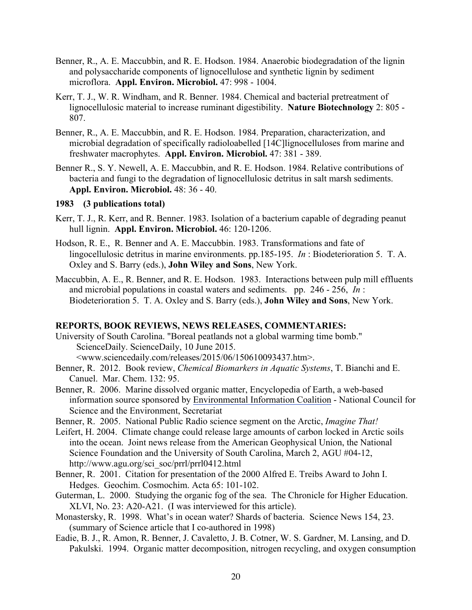- Benner, R., A. E. Maccubbin, and R. E. Hodson. 1984. Anaerobic biodegradation of the lignin and polysaccharide components of lignocellulose and synthetic lignin by sediment microflora. **Appl. Environ. Microbiol.** 47: 998 - 1004.
- Kerr, T. J., W. R. Windham, and R. Benner. 1984. Chemical and bacterial pretreatment of lignocellulosic material to increase ruminant digestibility. **Nature Biotechnology** 2: 805 - 807.
- Benner, R., A. E. Maccubbin, and R. E. Hodson. 1984. Preparation, characterization, and microbial degradation of specifically radioloabelled [14C]lignocelluloses from marine and freshwater macrophytes. **Appl. Environ. Microbiol.** 47: 381 - 389.
- Benner R., S. Y. Newell, A. E. Maccubbin, and R. E. Hodson. 1984. Relative contributions of bacteria and fungi to the degradation of lignocellulosic detritus in salt marsh sediments. **Appl. Environ. Microbiol.** 48: 36 - 40.

### **1983 (3 publications total)**

- Kerr, T. J., R. Kerr, and R. Benner. 1983. Isolation of a bacterium capable of degrading peanut hull lignin. **Appl. Environ. Microbiol.** 46: 120-1206.
- Hodson, R. E., R. Benner and A. E. Maccubbin. 1983. Transformations and fate of lingocellulosic detritus in marine environments. pp.185-195. *In* : Biodeterioration 5. T. A. Oxley and S. Barry (eds.), **John Wiley and Sons**, New York.
- Maccubbin, A. E., R. Benner, and R. E. Hodson. 1983. Interactions between pulp mill effluents and microbial populations in coastal waters and sediments. pp. 246 - 256, *In* : Biodeterioration 5. T. A. Oxley and S. Barry (eds.), **John Wiley and Sons**, New York.

### **REPORTS, BOOK REVIEWS, NEWS RELEASES, COMMENTARIES:**

- University of South Carolina. "Boreal peatlands not a global warming time bomb." ScienceDaily. ScienceDaily, 10 June 2015. <www.sciencedaily.com/releases/2015/06/150610093437.htm>.
- Benner, R. 2012. Book review, *Chemical Biomarkers in Aquatic Systems*, T. Bianchi and E. Canuel. Mar. Chem. 132: 95.
- Benner, R. 2006. Marine dissolved organic matter, Encyclopedia of Earth, a web-based information source sponsored by Environmental Information Coalition - National Council for Science and the Environment, Secretariat

Benner, R. 2005. National Public Radio science segment on the Arctic, *Imagine That!*

- Leifert, H. 2004. Climate change could release large amounts of carbon locked in Arctic soils into the ocean. Joint news release from the American Geophysical Union, the National Science Foundation and the University of South Carolina, March 2, AGU #04-12, http://www.agu.org/sci\_soc/prrl/prrl0412.html
- Benner, R. 2001. Citation for presentation of the 2000 Alfred E. Treibs Award to John I. Hedges. Geochim. Cosmochim. Acta 65: 101-102.
- Guterman, L. 2000. Studying the organic fog of the sea. The Chronicle for Higher Education. XLVI, No. 23: A20-A21. (I was interviewed for this article).
- Monastersky, R. 1998. What's in ocean water? Shards of bacteria. Science News 154, 23. (summary of Science article that I co-authored in 1998)
- Eadie, B. J., R. Amon, R. Benner, J. Cavaletto, J. B. Cotner, W. S. Gardner, M. Lansing, and D. Pakulski. 1994. Organic matter decomposition, nitrogen recycling, and oxygen consumption